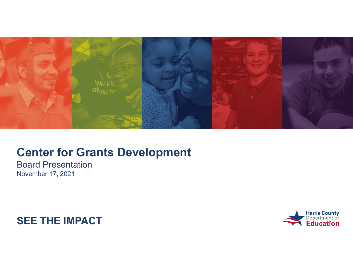

**Board Presentation** November 17, 2021



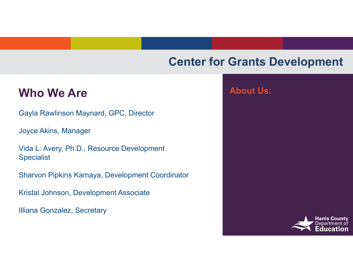#### **Who We Are**

Gayla Rawlinson Maynard, GPC, Director

Joyce Akins, Manager

Vida L. Avery, Ph.D., Resource Development **Specialist** 

Sharvon Pipkins Kamaya, Development Coordinator

Kristal Johnson, Development Associate

Illiana Gonzalez, Secretary

#### **About Us:**

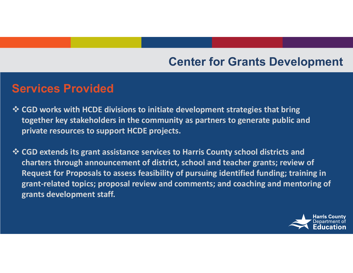#### **Services Provided**

- **CGD works with HCDE divisions to initiate development strategies that bring together key stakeholders in the community as partners to generate public and private resources to support HCDE projects.**
- **CGD extends its grant assistance services to Harris County school districts and charters through announcement of district, school and teacher grants; review of Request for Proposals to assess feasibility of pursuing identified funding; training in grant‐related topics; proposal review and comments; and coaching and mentoring of grants development staff.**

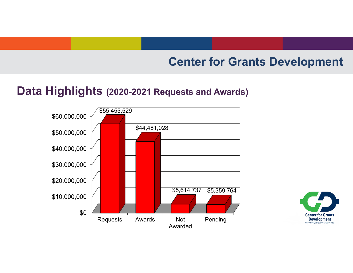#### **Data Highlights (2020-2021 Requests and Awards)**



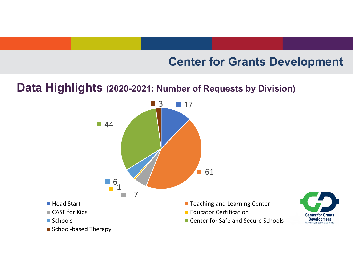#### **Data Highlights (2020-2021: Number of Requests by Division)**

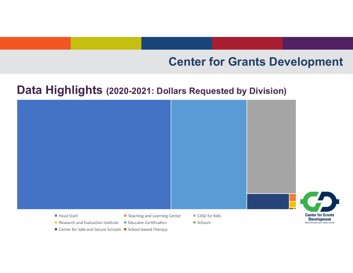#### Data Highlights (2020-2021: Dollars Requested by Division)



■ Center for Safe and Secure Schools ■ School-based Therapy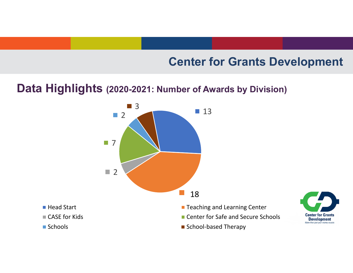#### **Data Highlights (2020-2021: Number of Awards by Division)**



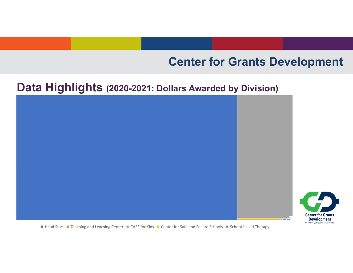**Center for Grants Development**  *More than just your money source.* 

# **Data Highlights (2020-2021: Dollars Awarded by Division)**



Head Start ■ Teaching and Learning Center ■ CASE for Kids ■ Center for Safe and Secure Schools ■ School-based Therapy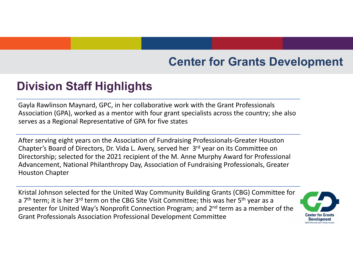# **Division Staff Highlights**

Gayla Rawlinson Maynard, GPC, in her collaborative work with the Grant Professionals Association (GPA), worked as <sup>a</sup> mentor with four grant specialists across the country; she also serves as a Regional Representative of GPA for five states

After serving eight years on the Association of Fundraising Professionals‐Greater Houston Chapter's Board of Directors, Dr. Vida L. Avery, served her 3r<sup>d</sup> year on its Committee on Directorship; selected for the 2021 recipient of the M. Anne Murphy Award for Professional Advancement, National Philanthropy Day, Association of Fundraising Professionals, Greater Houston Chapter

Grant Professionals Association Professional Development Committee Kristal Johnson selected for the United Way Community Building Grants (CBG) Committee for a 7<sup>th</sup> term; it is her 3<sup>rd</sup> term on the CBG Site Visit Committee; this was her 5<sup>th</sup> year as a presenter for United Way's Nonprofit Connection Program; and 2<sup>nd</sup> term as a member of the

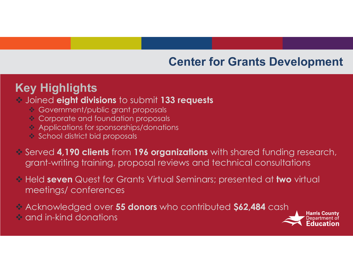# **Key Highlights**

#### Joined **eight divisions** to submit **133 requests**

- Government/public grant proposals
- **♦ Corporate and foundation proposals**
- $\Leftrightarrow$  Applications for sponsorships/donations
- $\triangleleft$  School district bid proposals
- Served **4,190 clients** from **196 organizations** with shared funding research, grant-writing training, proposal reviews and technical consultations
- Held **seven** Quest for Grants Virtual Seminars; presented at **two** virtual meetings/ conferences
- Acknowledged over **55 donors** who contributed **\$62,484** cash
- $\hat{\mathbf{v}}$  and in-kind donations

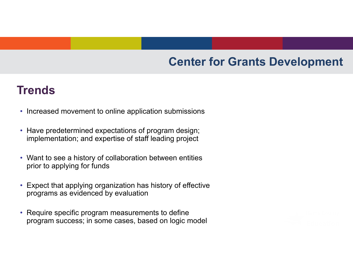# **Trends**

- Increased movement to online application submissions
- Have predetermined expectations of program design; implementation; and expertise of staff leading project
- Want to see a history of collaboration between entities prior to applying for funds
- Expect that applying organization has history of effective programs as evidenced by evaluation
- Require specific program measurements to define program success; in some cases, based on logic model